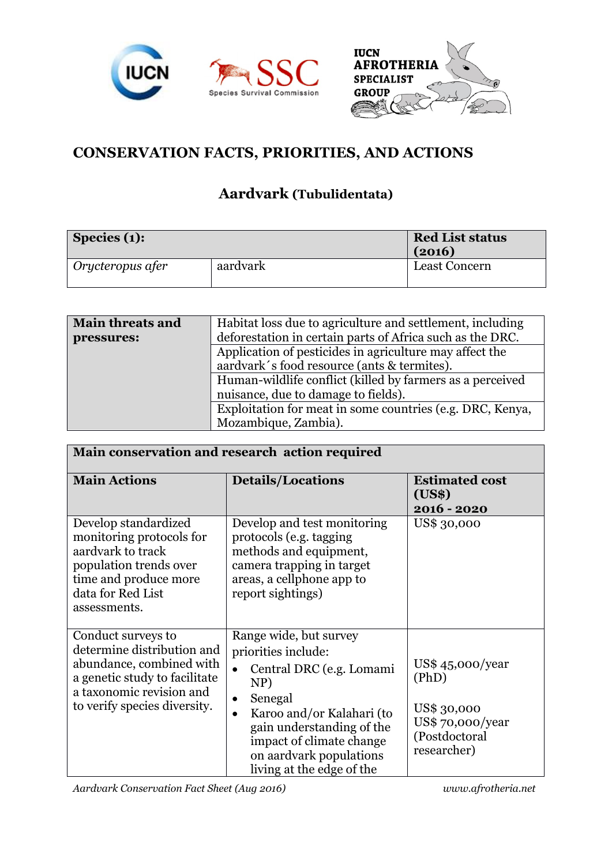



## **CONSERVATION FACTS, PRIORITIES, AND ACTIONS**

## **Aardvark (Tubulidentata)**

| $\vert$ Species (1):      |          | <b>Red List status</b><br>(2016) |
|---------------------------|----------|----------------------------------|
| $\vdash$ Orycteropus afer | aardvark | <b>Least Concern</b>             |

| <b>Main threats and</b> | Habitat loss due to agriculture and settlement, including                                        |  |  |
|-------------------------|--------------------------------------------------------------------------------------------------|--|--|
| pressures:              | deforestation in certain parts of Africa such as the DRC.                                        |  |  |
|                         | Application of pesticides in agriculture may affect the                                          |  |  |
|                         | aardvark's food resource (ants & termites).                                                      |  |  |
|                         | Human-wildlife conflict (killed by farmers as a perceived<br>nuisance, due to damage to fields). |  |  |
|                         |                                                                                                  |  |  |
|                         | Exploitation for meat in some countries (e.g. DRC, Kenya,                                        |  |  |
|                         | Mozambique, Zambia).                                                                             |  |  |

| Main conservation and research action required                                                                                                                            |                                                                                                                                                                                                                                                                                  |                                                                                             |  |  |
|---------------------------------------------------------------------------------------------------------------------------------------------------------------------------|----------------------------------------------------------------------------------------------------------------------------------------------------------------------------------------------------------------------------------------------------------------------------------|---------------------------------------------------------------------------------------------|--|--|
| <b>Main Actions</b>                                                                                                                                                       | <b>Details/Locations</b>                                                                                                                                                                                                                                                         | <b>Estimated cost</b><br>(US\$)<br>2016 - 2020                                              |  |  |
| Develop standardized<br>monitoring protocols for<br>aardvark to track<br>population trends over<br>time and produce more<br>data for Red List<br>assessments.             | Develop and test monitoring<br>protocols (e.g. tagging<br>methods and equipment,<br>camera trapping in target<br>areas, a cellphone app to<br>report sightings)                                                                                                                  | US\$ 30,000                                                                                 |  |  |
| Conduct surveys to<br>determine distribution and<br>abundance, combined with<br>a genetic study to facilitate<br>a taxonomic revision and<br>to verify species diversity. | Range wide, but survey<br>priorities include:<br>Central DRC (e.g. Lomami<br>$\bullet$<br>NP)<br>Senegal<br>$\bullet$<br>Karoo and/or Kalahari (to<br>$\bullet$<br>gain understanding of the<br>impact of climate change<br>on aardvark populations<br>living at the edge of the | US\$45,000/year<br>(PhD)<br>US\$ 30,000<br>US\$ 70,000/year<br>(Postdoctoral<br>researcher) |  |  |

*Aardvark Conservation Fact Sheet (Aug 2016) www.afrotheria.net*